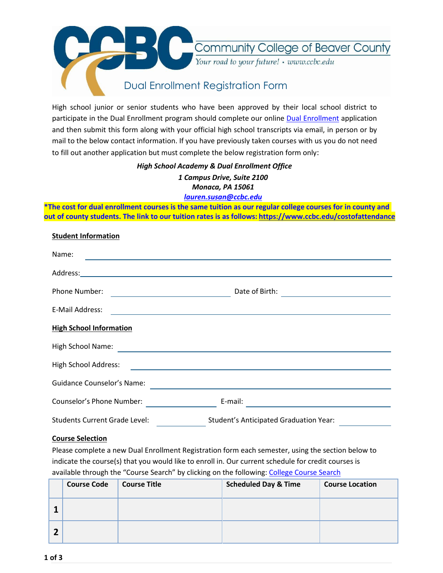

High school junior or senior students who have been approved by their local school district to participate in the [Dual Enrollment](https://my.ccbc.edu/ICS/Apply_Online.jnz?portlet=Apply_Online_2.0&screen=Display+Intro&screenType=next) program should complete our online Dual Enrollment application and then submit this form along with your official high school transcripts via email, in person or by mail to the below contact information. If you have previously taken courses with us you do not need to fill out another application but must complete the below registration form only:

## *High School Academy & Dual Enrollment Office*

*1 Campus Drive, Suite 2100 Monaca, PA 15061*

*[lauren.susan@ccbc.edu](mailto:lauren.susan@ccbc.edu)*

**\*The cost for dual enrollment courses is the same tuition as our regular college courses for in county and out of county students. The link to our tuition rates is as follows: <https://www.ccbc.edu/costofattendance>**

| <b>Student Information</b>                                       |                                                                                                                                         |  |  |  |  |  |
|------------------------------------------------------------------|-----------------------------------------------------------------------------------------------------------------------------------------|--|--|--|--|--|
| Name:                                                            | and the control of the control of the control of the control of the control of the control of the control of the                        |  |  |  |  |  |
|                                                                  |                                                                                                                                         |  |  |  |  |  |
| Phone Number:<br><u> 1989 - Johann Barnett, fransk politiker</u> | Date of Birth:<br><u> 1989 - Johann Barn, mars et al. 1989 - Anna ann an t-Anna ann an t-Anna ann an t-Anna ann an t-Anna ann an t-</u> |  |  |  |  |  |
| E-Mail Address:                                                  | and the control of the control of the control of the control of the control of the control of the control of the                        |  |  |  |  |  |
| <b>High School Information</b>                                   |                                                                                                                                         |  |  |  |  |  |
| High School Name:                                                |                                                                                                                                         |  |  |  |  |  |
| High School Address:                                             |                                                                                                                                         |  |  |  |  |  |
| <b>Guidance Counselor's Name:</b>                                |                                                                                                                                         |  |  |  |  |  |
| Counselor's Phone Number:                                        | E-mail:                                                                                                                                 |  |  |  |  |  |
| Students Current Grade Level:                                    | <b>Student's Anticipated Graduation Year:</b>                                                                                           |  |  |  |  |  |

### **Course Selection**

Please complete a new Dual Enrollment Registration form each semester, using the section below to indicate the course(s) that you would like to enroll in. Our current schedule for credit courses is available through the "Course Search" by clicking on the following: [College Course Search](https://my.ccbc.edu/ICS/Home.jnz?portlet=Course_Schedules&screen=Advanced+Course+Search&screenType=next)

| <b>Course Code</b> | <b>Course Title</b> | <b>Scheduled Day &amp; Time</b> | <b>Course Location</b> |
|--------------------|---------------------|---------------------------------|------------------------|
|                    |                     |                                 |                        |
|                    |                     |                                 |                        |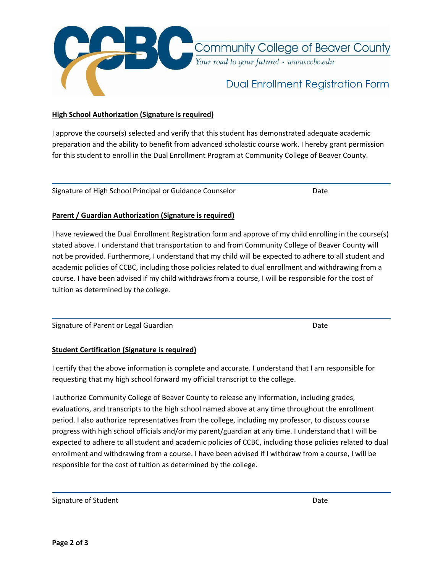

Community College of Beaver County Your road to your future! • www.ccbc.edu

## Dual Enrollment Registration Form

#### **High School Authorization (Signature is required)**

I approve the course(s) selected and verify that this student has demonstrated adequate academic preparation and the ability to benefit from advanced scholastic course work. I hereby grant permission for this student to enroll in the Dual Enrollment Program at Community College of Beaver County.

Signature of High School Principal or Guidance Counselor **Date** Date

#### **Parent / Guardian Authorization (Signature is required)**

I have reviewed the Dual Enrollment Registration form and approve of my child enrolling in the course(s) stated above. I understand that transportation to and from Community College of Beaver County will not be provided. Furthermore, I understand that my child will be expected to adhere to all student and academic policies of CCBC, including those policies related to dual enrollment and withdrawing from a course. I have been advised if my child withdraws from a course, I will be responsible for the cost of tuition as determined by the college.

Signature of Parent or Legal Guardian Date Date of Parent or Legal Guardian Date

### **Student Certification (Signature is required)**

I certify that the above information is complete and accurate. I understand that I am responsible for requesting that my high school forward my official transcript to the college.

I authorize Community College of Beaver County to release any information, including grades, evaluations, and transcripts to the high school named above at any time throughout the enrollment period. I also authorize representatives from the college, including my professor, to discuss course progress with high school officials and/or my parent/guardian at any time. I understand that I will be expected to adhere to all student and academic policies of CCBC, including those policies related to dual enrollment and withdrawing from a course. I have been advised if I withdraw from a course, I will be responsible for the cost of tuition as determined by the college.

Signature of Student Date Communications and Date Date Date Date Date Date